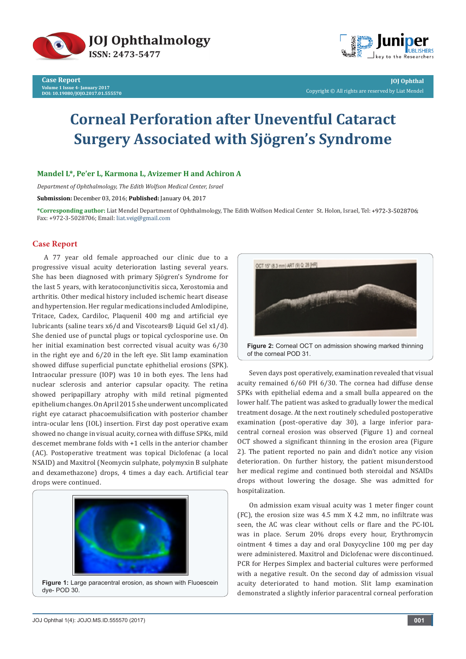



**JOJ Ophthal** Copyright © All rights are reserved by Liat Mendel

# **Corneal Perforation after Uneventful Cataract Surgery Associated with Sjögren's Syndrome**

## **Mandel L\*, Pe'er L, Karmona L, Avizemer H and Achiron A**

*Department of Ophthalmology, The Edith Wolfson Medical Center, Israel*

**Submission:** December 03, 2016; **Published:** January 04, 2017

**\*Corresponding author:** Liat Mendel Department of Ophthalmology, The Edith Wolfson Medical Center St. Holon, Israel, Tel: ; Fax: +972-3-5028706; Email: liat.veig@gmail.com

# **Case Report**

A 77 year old female approached our clinic due to a progressive visual acuity deterioration lasting several years. She has been diagnosed with primary Sjögren's Syndrome for the last 5 years, with keratoconjunctivitis sicca, Xerostomia and arthritis. Other medical history included ischemic heart disease and hypertension. Her regular medications included Amlodipine, Tritace, Cadex, Cardiloc, Plaquenil 400 mg and artificial eye lubricants (saline tears x6/d and Viscotears® Liquid Gel x1/d). She denied use of punctal plugs or topical cyclosporine use. On her initial examination best corrected visual acuity was 6/30 in the right eye and 6/20 in the left eye. Slit lamp examination showed diffuse superficial punctate ephithelial erosions (SPK). Intraocular pressure (IOP) was 10 in both eyes. The lens had nuclear sclerosis and anterior capsular opacity. The retina showed peripapillary atrophy with mild retinal pigmented epithelium changes. On April 2015 she underwent uncomplicated right eye cataract phacoemulsification with posterior chamber intra-ocular lens (IOL) insertion. First day post operative exam showed no change in visual acuity, cornea with diffuse SPKs, mild descemet membrane folds with +1 cells in the anterior chamber (AC). Postoperative treatment was topical Diclofenac (a local NSAID) and Maxitrol (Neomycin sulphate, polymyxin B sulphate and dexamethazone) drops, 4 times a day each. Artificial tear drops were continued.





Seven days post operatively, examination revealed that visual acuity remained 6/60 PH 6/30. The cornea had diffuse dense SPKs with epithelial edema and a small bulla appeared on the lower half. The patient was asked to gradually lower the medical treatment dosage. At the next routinely scheduled postoperative examination (post-operative day 30), a large inferior paracentral corneal erosion was observed (Figure 1) and corneal OCT showed a significant thinning in the erosion area (Figure 2). The patient reported no pain and didn't notice any vision deterioration. On further history, the patient misunderstood her medical regime and continued both steroidal and NSAIDs drops without lowering the dosage. She was admitted for hospitalization.

On admission exam visual acuity was 1 meter finger count (FC), the erosion size was 4.5 mm X 4.2 mm, no infiltrate was seen, the AC was clear without cells or flare and the PC-IOL was in place. Serum 20% drops every hour, Erythromycin ointment 4 times a day and oral Doxycycline 100 mg per day were administered. Maxitrol and Diclofenac were discontinued. PCR for Herpes Simplex and bacterial cultures were performed with a negative result. On the second day of admission visual acuity deteriorated to hand motion. Slit lamp examination demonstrated a slightly inferior paracentral corneal perforation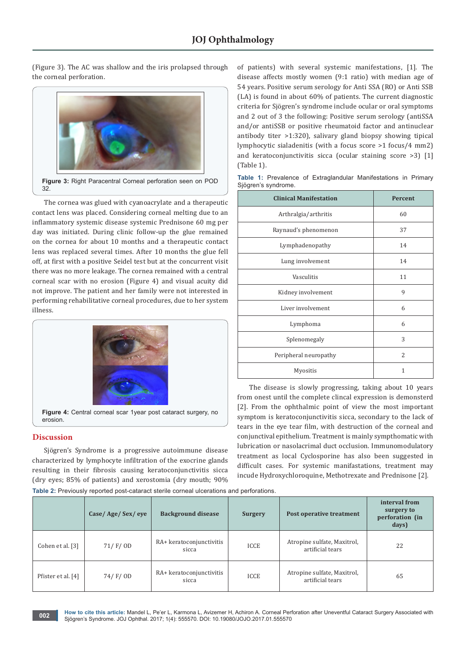(Figure 3). The AC was shallow and the iris prolapsed through the corneal perforation.



The cornea was glued with cyanoacrylate and a therapeutic contact lens was placed. Considering corneal melting due to an inflammatory systemic disease systemic Prednisone 60 mg per day was initiated. During clinic follow-up the glue remained on the cornea for about 10 months and a therapeutic contact lens was replaced several times. After 10 months the glue fell off, at first with a positive Seidel test but at the concurrent visit there was no more leakage. The cornea remained with a central corneal scar with no erosion (Figure 4) and visual acuity did not improve. The patient and her family were not interested in performing rehabilitative corneal procedures, due to her system illness.



# **Discussion**

Sjögren's Syndrome is a progressive autoimmune disease characterized by lymphocyte infiltration of the exocrine glands resulting in their fibrosis causing keratoconjunctivitis sicca (dry eyes; 85% of patients) and xerostomia (dry mouth; 90% of patients) with several systemic manifestations, [1]. The disease affects mostly women (9:1 ratio) with median age of 54 years. Positive serum serology for Anti SSA (RO) or Anti SSB (LA) is found in about 60% of patients. The current diagnostic criteria for Sjögren's syndrome include ocular or oral symptoms and 2 out of 3 the following: Positive serum serology (antiSSA and/or antiSSB or positive rheumatoid factor and antinuclear antibody titer >1:320), salivary gland biopsy showing tipical lymphocytic sialadenitis (with a focus score >1 focus/4 mm2) and keratoconjunctivitis sicca (ocular staining score >3) [1] (Table 1).

**Table 1:** Prevalence of Extraglandular Manifestations in Primary

| Sjögren's syndrome.           |         |  |  |  |  |  |
|-------------------------------|---------|--|--|--|--|--|
| <b>Clinical Manifestation</b> | Percent |  |  |  |  |  |
| Arthralgia/arthritis          | 60      |  |  |  |  |  |
| Raynaud's phenomenon          | 37      |  |  |  |  |  |
| Lymphadenopathy               | 14      |  |  |  |  |  |
| Lung involvement              | 14      |  |  |  |  |  |
| Vasculitis                    | 11      |  |  |  |  |  |
| Kidney involvement            | 9       |  |  |  |  |  |
| Liver involvement             | 6       |  |  |  |  |  |
| Lymphoma                      | 6       |  |  |  |  |  |
| Splenomegaly                  | 3       |  |  |  |  |  |
| Peripheral neuropathy         | 2       |  |  |  |  |  |
| Myositis                      | 1       |  |  |  |  |  |

The disease is slowly progressing, taking about 10 years from onest until the complete clincal expression is demonsterd [2]. From the ophthalmic point of view the most important symptom is keratoconjunctivitis sicca, secondary to the lack of tears in the eye tear film, with destruction of the corneal and conjunctival epithelium. Treatment is mainly sympthomatic with lubrication or nasolacrimal duct occlusion. Immunomodulatory treatment as local Cyclosporine has also been suggested in difficult cases. For systemic manifastations, treatment may incude Hydroxychloroquine, Methotrexate and Prednisone [2].

**Table 2:** Previously reported post-cataract sterile corneal ulcerations and perforations.

|                    | Case/Age/Sex/eye | <b>Background disease</b>         | <b>Surgery</b> | Post operative treatment                        | interval from<br>surgery to<br>perforation (in<br>days) |
|--------------------|------------------|-----------------------------------|----------------|-------------------------------------------------|---------------------------------------------------------|
| Cohen et al. [3]   | 71/F/OD          | RA+ keratoconjunctivitis<br>sicca | <b>ICCE</b>    | Atropine sulfate, Maxitrol,<br>artificial tears | 22                                                      |
| Pfister et al. [4] | 74/F/OD          | RA+ keratoconjunctivitis<br>sicca | <b>ICCE</b>    | Atropine sulfate, Maxitrol,<br>artificial tears | 65                                                      |

**How to cite this article:** Mandel L, Pe'er L, Karmona L, Avizemer H, Achiron A. Corneal Perforation after Uneventful Cataract Surgery Associated with Sjögren's Syndrome. JOJ Ophthal. 2017; 1(4): 555570. DOI: [10.19080/JOJO.2017.01.555570](http://dx.doi.org/10.19080/JOJO.2017.01.555570
) **<sup>002</sup>**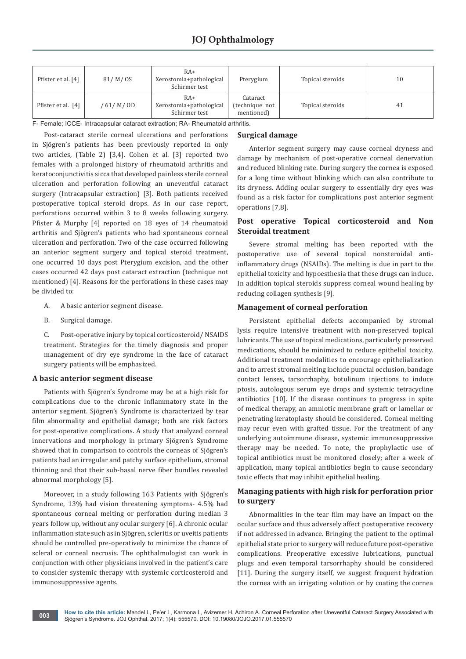| Pfister et al. [4] | 81/M/OS     | $RA+$<br>Xerostomia+pathological<br>Schirmer test | Pterygium                                | Topical steroids | 10 |
|--------------------|-------------|---------------------------------------------------|------------------------------------------|------------------|----|
| Pfister et al. [4] | ' 61/ M/ OD | $RA+$<br>Xerostomia+pathological<br>Schirmer test | Cataract<br>(technique not<br>mentioned) | Topical steroids | 41 |

F- Female; ICCE- Intracapsular cataract extraction; RA- Rheumatoid arthritis.

Post-cataract sterile corneal ulcerations and perforations in Sjögren's patients has been previously reported in only two articles, (Table 2) [3,4]. Cohen et al. [3] reported two females with a prolonged history of rheumatoid arthritis and keratoconjunctivitis sicca that developed painless sterile corneal ulceration and perforation following an uneventful cataract surgery (Intracapsular extraction) [3]. Both patients received postoperative topical steroid drops. As in our case report, perforations occurred within 3 to 8 weeks following surgery. Pfister & Murphy [4] reported on 18 eyes of 14 rheumatoid arthritis and Sjögren's patients who had spontaneous corneal ulceration and perforation. Two of the case occurred following an anterior segment surgery and topical steroid treatment, one occurred 10 days post Pterygium excision, and the other cases occurred 42 days post cataract extraction (technique not mentioned) [4]. Reasons for the perforations in these cases may be divided to:

- A. A basic anterior segment disease.
- B. Surgical damage.

C. Post-operative injury by topical corticosteroid/ NSAIDS treatment. Strategies for the timely diagnosis and proper management of dry eye syndrome in the face of cataract surgery patients will be emphasized.

#### **A basic anterior segment disease**

Patients with Sjögren's Syndrome may be at a high risk for complications due to the chronic inflammatory state in the anterior segment. Sjögren's Syndrome is characterized by tear film abnormality and epithelial damage; both are risk factors for post-operative complications. A study that analyzed corneal innervations and morphology in primary Sjögren's Syndrome showed that in comparison to controls the corneas of Sjögren's patients had an irregular and patchy surface epithelium, stromal thinning and that their sub-basal nerve fiber bundles revealed abnormal morphology [5].

Moreover, in a study following 163 Patients with Sjögren's Syndrome, 13% had vision threatening symptoms- 4.5% had spontaneous corneal melting or perforation during median 3 years follow up, without any ocular surgery [6]. A chronic ocular inflammation state such as in Sjögren, scleritis or uveitis patients should be controlled pre-operatively to minimize the chance of scleral or corneal necrosis. The ophthalmologist can work in conjunction with other physicians involved in the patient's care to consider systemic therapy with systemic corticosteroid and immunosuppressive agents.

#### **Surgical damage**

Anterior segment surgery may cause corneal dryness and damage by mechanism of post-operative corneal denervation and reduced blinking rate. During surgery the cornea is exposed for a long time without blinking which can also contribute to its dryness. Adding ocular surgery to essentially dry eyes was found as a risk factor for complications post anterior segment operations [7,8].

## **Post operative Topical corticosteroid and Non Steroidal treatment**

Severe stromal melting has been reported with the postoperative use of several topical nonsteroidal antiinflammatory drugs (NSAIDs). The melting is due in part to the epithelial toxicity and hypoesthesia that these drugs can induce. In addition topical steroids suppress corneal wound healing by reducing collagen synthesis [9].

## **Management of corneal perforation**

Persistent epithelial defects accompanied by stromal lysis require intensive treatment with non-preserved topical lubricants. The use of topical medications, particularly preserved medications, should be minimized to reduce epithelial toxicity. Additional treatment modalities to encourage epithelialization and to arrest stromal melting include punctal occlusion, bandage contact lenses, tarsorrhaphy, botulinum injections to induce ptosis, autologous serum eye drops and systemic tetracycline antibiotics [10]. If the disease continues to progress in spite of medical therapy, an amniotic membrane graft or lamellar or penetrating keratoplasty should be considered. Corneal melting may recur even with grafted tissue. For the treatment of any underlying autoimmune disease, systemic immunosuppressive therapy may be needed. To note, the prophylactic use of topical antibiotics must be monitored closely; after a week of application, many topical antibiotics begin to cause secondary toxic effects that may inhibit epithelial healing.

# **Managing patients with high risk for perforation prior to surgery**

Abnormalities in the tear film may have an impact on the ocular surface and thus adversely affect postoperative recovery if not addressed in advance. Bringing the patient to the optimal epithelial state prior to surgery will reduce future post-operative complications. Preoperative excessive lubrications, punctual plugs and even temporal tarsorrhaphy should be considered [11]. During the surgery itself, we suggest frequent hydration the cornea with an irrigating solution or by coating the cornea